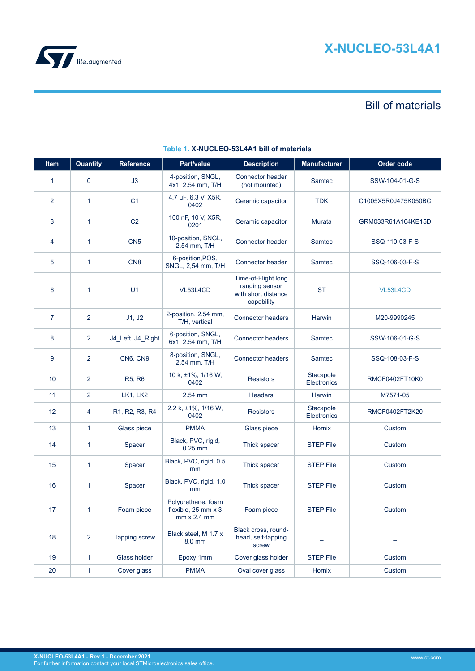

# Bill of materials

| Item           | Quantity       | Reference         | Part/value                                                         | <b>Description</b>                                                         | <b>Manufacturer</b>      | Order code          |
|----------------|----------------|-------------------|--------------------------------------------------------------------|----------------------------------------------------------------------------|--------------------------|---------------------|
| $\mathbf{1}$   | $\mathbf 0$    | J3                | 4-position, SNGL,<br>4x1, 2.54 mm, T/H                             | Connector header<br>(not mounted)                                          | Samtec                   | SSW-104-01-G-S      |
| $\overline{2}$ | $\mathbf{1}$   | C <sub>1</sub>    | 4.7 µF, 6.3 V, X5R,<br>0402                                        | Ceramic capacitor                                                          | <b>TDK</b>               | C1005X5R0J475K050BC |
| 3              | 1              | C <sub>2</sub>    | 100 nF, 10 V, X5R,<br>0201                                         | Ceramic capacitor                                                          | <b>Murata</b>            | GRM033R61A104KE15D  |
| 4              | 1              | CN <sub>5</sub>   | 10-position, SNGL,<br>2.54 mm, T/H                                 | Connector header                                                           | Samtec                   | SSQ-110-03-F-S      |
| 5              | 1              | CN <sub>8</sub>   | 6-position, POS,<br>SNGL, 2,54 mm, T/H                             | Connector header                                                           | Samtec                   | SSQ-106-03-F-S      |
| 6              | 1              | U <sub>1</sub>    | VL53L4CD                                                           | Time-of-Flight long<br>ranging sensor<br>with short distance<br>capability | <b>ST</b>                | VL53L4CD            |
| $\overline{7}$ | 2              | J1, J2            | 2-position, 2.54 mm,<br>T/H, vertical                              | <b>Connector headers</b>                                                   | Harwin                   | M20-9990245         |
| 8              | 2              | J4_Left, J4_Right | 6-position, SNGL,<br>6x1, 2.54 mm, T/H                             | <b>Connector headers</b>                                                   | Samtec                   | SSW-106-01-G-S      |
| 9              | 2              | CN6, CN9          | 8-position, SNGL,<br>2.54 mm, T/H                                  | <b>Connector headers</b>                                                   | Samtec                   | SSQ-108-03-F-S      |
| 10             | 2              | <b>R5, R6</b>     | 10 k, ±1%, 1/16 W,<br>0402                                         | <b>Resistors</b>                                                           | Stackpole<br>Electronics | RMCF0402FT10K0      |
| 11             | $\overline{2}$ | LK1, LK2          | 2.54 mm                                                            | <b>Headers</b>                                                             | Harwin                   | M7571-05            |
| 12             | 4              | R1, R2, R3, R4    | 2.2 k, ±1%, 1/16 W,<br>0402                                        | <b>Resistors</b>                                                           | Stackpole<br>Electronics | RMCF0402FT2K20      |
| 13             | $\mathbf{1}$   | Glass piece       | <b>PMMA</b>                                                        | Glass piece                                                                | Hornix                   | Custom              |
| 14             | 1              | Spacer            | Black, PVC, rigid,<br>$0.25$ mm                                    | Thick spacer                                                               | <b>STEP File</b>         | Custom              |
| 15             | 1              | Spacer            | Black, PVC, rigid, 0.5<br>mm                                       | Thick spacer                                                               | <b>STEP File</b>         | Custom              |
| 16             | 1              | Spacer            | Black, PVC, rigid, 1.0<br>mm                                       | Thick spacer                                                               | <b>STEP File</b>         | Custom              |
| 17             | 1              | Foam piece        | Polyurethane, foam<br>flexible, 25 mm x 3<br>$mm \times 2.4 \, mm$ | Foam piece                                                                 | <b>STEP File</b>         | Custom              |
| 18             | $\overline{2}$ | Tapping screw     | Black steel, M 1.7 x<br>8.0 mm                                     | Black cross, round-<br>head, self-tapping<br>screw                         |                          |                     |
| 19             | 1              | Glass holder      | Epoxy 1mm                                                          | Cover glass holder                                                         | <b>STEP File</b>         | Custom              |
| 20             | 1              | Cover glass       | <b>PMMA</b>                                                        | Oval cover glass                                                           | Hornix                   | Custom              |

## **Table 1. X-NUCLEO-53L4A1 bill of materials**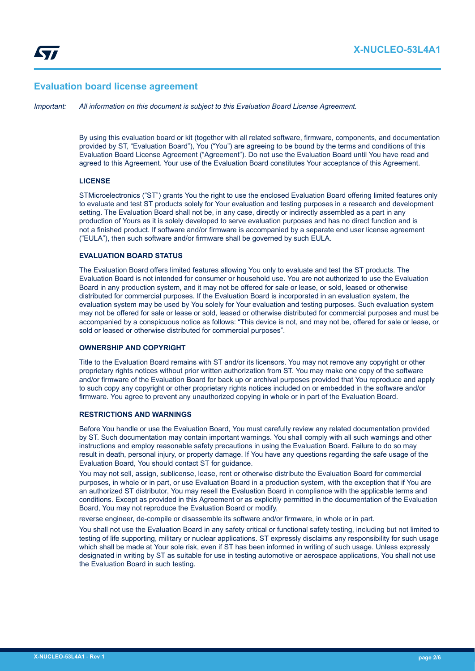## **Evaluation board license agreement**

*Important: All information on this document is subject to this Evaluation Board License Agreement.*

By using this evaluation board or kit (together with all related software, firmware, components, and documentation provided by ST, "Evaluation Board"), You ("You") are agreeing to be bound by the terms and conditions of this Evaluation Board License Agreement ("Agreement"). Do not use the Evaluation Board until You have read and agreed to this Agreement. Your use of the Evaluation Board constitutes Your acceptance of this Agreement.

#### **LICENSE**

STMicroelectronics ("ST") grants You the right to use the enclosed Evaluation Board offering limited features only to evaluate and test ST products solely for Your evaluation and testing purposes in a research and development setting. The Evaluation Board shall not be, in any case, directly or indirectly assembled as a part in any production of Yours as it is solely developed to serve evaluation purposes and has no direct function and is not a finished product. If software and/or firmware is accompanied by a separate end user license agreement ("EULA"), then such software and/or firmware shall be governed by such EULA.

## **EVALUATION BOARD STATUS**

The Evaluation Board offers limited features allowing You only to evaluate and test the ST products. The Evaluation Board is not intended for consumer or household use. You are not authorized to use the Evaluation Board in any production system, and it may not be offered for sale or lease, or sold, leased or otherwise distributed for commercial purposes. If the Evaluation Board is incorporated in an evaluation system, the evaluation system may be used by You solely for Your evaluation and testing purposes. Such evaluation system may not be offered for sale or lease or sold, leased or otherwise distributed for commercial purposes and must be accompanied by a conspicuous notice as follows: "This device is not, and may not be, offered for sale or lease, or sold or leased or otherwise distributed for commercial purposes".

## **OWNERSHIP AND COPYRIGHT**

Title to the Evaluation Board remains with ST and/or its licensors. You may not remove any copyright or other proprietary rights notices without prior written authorization from ST. You may make one copy of the software and/or firmware of the Evaluation Board for back up or archival purposes provided that You reproduce and apply to such copy any copyright or other proprietary rights notices included on or embedded in the software and/or firmware. You agree to prevent any unauthorized copying in whole or in part of the Evaluation Board.

#### **RESTRICTIONS AND WARNINGS**

Before You handle or use the Evaluation Board, You must carefully review any related documentation provided by ST. Such documentation may contain important warnings. You shall comply with all such warnings and other instructions and employ reasonable safety precautions in using the Evaluation Board. Failure to do so may result in death, personal injury, or property damage. If You have any questions regarding the safe usage of the Evaluation Board, You should contact ST for guidance.

You may not sell, assign, sublicense, lease, rent or otherwise distribute the Evaluation Board for commercial purposes, in whole or in part, or use Evaluation Board in a production system, with the exception that if You are an authorized ST distributor, You may resell the Evaluation Board in compliance with the applicable terms and conditions. Except as provided in this Agreement or as explicitly permitted in the documentation of the Evaluation Board, You may not reproduce the Evaluation Board or modify,

reverse engineer, de-compile or disassemble its software and/or firmware, in whole or in part.

You shall not use the Evaluation Board in any safety critical or functional safety testing, including but not limited to testing of life supporting, military or nuclear applications. ST expressly disclaims any responsibility for such usage which shall be made at Your sole risk, even if ST has been informed in writing of such usage. Unless expressly designated in writing by ST as suitable for use in testing automotive or aerospace applications, You shall not use the Evaluation Board in such testing.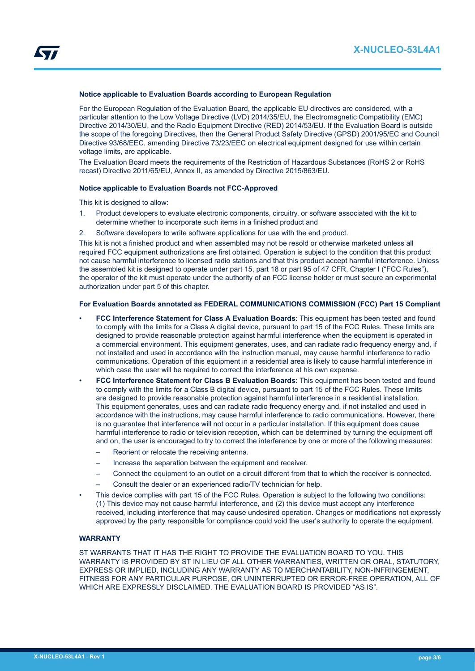## **Notice applicable to Evaluation Boards according to European Regulation**

For the European Regulation of the Evaluation Board, the applicable EU directives are considered, with a particular attention to the Low Voltage Directive (LVD) 2014/35/EU, the Electromagnetic Compatibility (EMC) Directive 2014/30/EU, and the Radio Equipment Directive (RED) 2014/53/EU. If the Evaluation Board is outside the scope of the foregoing Directives, then the General Product Safety Directive (GPSD) 2001/95/EC and Council Directive 93/68/EEC, amending Directive 73/23/EEC on electrical equipment designed for use within certain voltage limits, are applicable.

The Evaluation Board meets the requirements of the Restriction of Hazardous Substances (RoHS 2 or RoHS recast) Directive 2011/65/EU, Annex II, as amended by Directive 2015/863/EU.

#### **Notice applicable to Evaluation Boards not FCC-Approved**

This kit is designed to allow:

- 1. Product developers to evaluate electronic components, circuitry, or software associated with the kit to determine whether to incorporate such items in a finished product and
- 2. Software developers to write software applications for use with the end product.

This kit is not a finished product and when assembled may not be resold or otherwise marketed unless all required FCC equipment authorizations are first obtained. Operation is subject to the condition that this product not cause harmful interference to licensed radio stations and that this product accept harmful interference. Unless the assembled kit is designed to operate under part 15, part 18 or part 95 of 47 CFR, Chapter I ("FCC Rules"), the operator of the kit must operate under the authority of an FCC license holder or must secure an experimental authorization under part 5 of this chapter.

#### **For Evaluation Boards annotated as FEDERAL COMMUNICATIONS COMMISSION (FCC) Part 15 Compliant**

- **FCC Interference Statement for Class A Evaluation Boards**: This equipment has been tested and found to comply with the limits for a Class A digital device, pursuant to part 15 of the FCC Rules. These limits are designed to provide reasonable protection against harmful interference when the equipment is operated in a commercial environment. This equipment generates, uses, and can radiate radio frequency energy and, if not installed and used in accordance with the instruction manual, may cause harmful interference to radio communications. Operation of this equipment in a residential area is likely to cause harmful interference in which case the user will be required to correct the interference at his own expense.
- **FCC Interference Statement for Class B Evaluation Boards**: This equipment has been tested and found to comply with the limits for a Class B digital device, pursuant to part 15 of the FCC Rules. These limits are designed to provide reasonable protection against harmful interference in a residential installation. This equipment generates, uses and can radiate radio frequency energy and, if not installed and used in accordance with the instructions, may cause harmful interference to radio communications. However, there is no guarantee that interference will not occur in a particular installation. If this equipment does cause harmful interference to radio or television reception, which can be determined by turning the equipment off and on, the user is encouraged to try to correct the interference by one or more of the following measures:
	- Reorient or relocate the receiving antenna.
	- Increase the separation between the equipment and receiver.
	- Connect the equipment to an outlet on a circuit different from that to which the receiver is connected.
	- Consult the dealer or an experienced radio/TV technician for help.
- This device complies with part 15 of the FCC Rules. Operation is subject to the following two conditions: (1) This device may not cause harmful interference, and (2) this device must accept any interference received, including interference that may cause undesired operation. Changes or modifications not expressly approved by the party responsible for compliance could void the user's authority to operate the equipment.

#### **WARRANTY**

ST WARRANTS THAT IT HAS THE RIGHT TO PROVIDE THE EVALUATION BOARD TO YOU. THIS WARRANTY IS PROVIDED BY ST IN LIEU OF ALL OTHER WARRANTIES, WRITTEN OR ORAL, STATUTORY, EXPRESS OR IMPLIED, INCLUDING ANY WARRANTY AS TO MERCHANTABILITY, NON-INFRINGEMENT, FITNESS FOR ANY PARTICULAR PURPOSE, OR UNINTERRUPTED OR ERROR-FREE OPERATION, ALL OF WHICH ARE EXPRESSLY DISCLAIMED. THE EVALUATION BOARD IS PROVIDED "AS IS".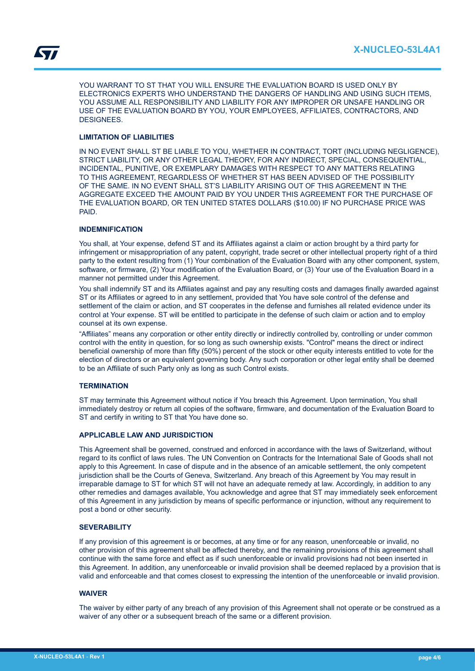YOU WARRANT TO ST THAT YOU WILL ENSURE THE EVALUATION BOARD IS USED ONLY BY ELECTRONICS EXPERTS WHO UNDERSTAND THE DANGERS OF HANDLING AND USING SUCH ITEMS, YOU ASSUME ALL RESPONSIBILITY AND LIABILITY FOR ANY IMPROPER OR UNSAFE HANDLING OR USE OF THE EVALUATION BOARD BY YOU, YOUR EMPLOYEES, AFFILIATES, CONTRACTORS, AND DESIGNEES.

## **LIMITATION OF LIABILITIES**

IN NO EVENT SHALL ST BE LIABLE TO YOU, WHETHER IN CONTRACT, TORT (INCLUDING NEGLIGENCE), STRICT LIABILITY, OR ANY OTHER LEGAL THEORY, FOR ANY INDIRECT, SPECIAL, CONSEQUENTIAL, INCIDENTAL, PUNITIVE, OR EXEMPLARY DAMAGES WITH RESPECT TO ANY MATTERS RELATING TO THIS AGREEMENT, REGARDLESS OF WHETHER ST HAS BEEN ADVISED OF THE POSSIBILITY OF THE SAME. IN NO EVENT SHALL ST'S LIABILITY ARISING OUT OF THIS AGREEMENT IN THE AGGREGATE EXCEED THE AMOUNT PAID BY YOU UNDER THIS AGREEMENT FOR THE PURCHASE OF THE EVALUATION BOARD, OR TEN UNITED STATES DOLLARS (\$10.00) IF NO PURCHASE PRICE WAS PAID.

## **INDEMNIFICATION**

You shall, at Your expense, defend ST and its Affiliates against a claim or action brought by a third party for infringement or misappropriation of any patent, copyright, trade secret or other intellectual property right of a third party to the extent resulting from (1) Your combination of the Evaluation Board with any other component, system, software, or firmware, (2) Your modification of the Evaluation Board, or (3) Your use of the Evaluation Board in a manner not permitted under this Agreement.

You shall indemnify ST and its Affiliates against and pay any resulting costs and damages finally awarded against ST or its Affiliates or agreed to in any settlement, provided that You have sole control of the defense and settlement of the claim or action, and ST cooperates in the defense and furnishes all related evidence under its control at Your expense. ST will be entitled to participate in the defense of such claim or action and to employ counsel at its own expense.

"Affiliates" means any corporation or other entity directly or indirectly controlled by, controlling or under common control with the entity in question, for so long as such ownership exists. "Control" means the direct or indirect beneficial ownership of more than fifty (50%) percent of the stock or other equity interests entitled to vote for the election of directors or an equivalent governing body. Any such corporation or other legal entity shall be deemed to be an Affiliate of such Party only as long as such Control exists.

## **TERMINATION**

ST may terminate this Agreement without notice if You breach this Agreement. Upon termination, You shall immediately destroy or return all copies of the software, firmware, and documentation of the Evaluation Board to ST and certify in writing to ST that You have done so.

## **APPLICABLE LAW AND JURISDICTION**

This Agreement shall be governed, construed and enforced in accordance with the laws of Switzerland, without regard to its conflict of laws rules. The UN Convention on Contracts for the International Sale of Goods shall not apply to this Agreement. In case of dispute and in the absence of an amicable settlement, the only competent jurisdiction shall be the Courts of Geneva, Switzerland. Any breach of this Agreement by You may result in irreparable damage to ST for which ST will not have an adequate remedy at law. Accordingly, in addition to any other remedies and damages available, You acknowledge and agree that ST may immediately seek enforcement of this Agreement in any jurisdiction by means of specific performance or injunction, without any requirement to post a bond or other security.

## **SEVERABILITY**

If any provision of this agreement is or becomes, at any time or for any reason, unenforceable or invalid, no other provision of this agreement shall be affected thereby, and the remaining provisions of this agreement shall continue with the same force and effect as if such unenforceable or invalid provisions had not been inserted in this Agreement. In addition, any unenforceable or invalid provision shall be deemed replaced by a provision that is valid and enforceable and that comes closest to expressing the intention of the unenforceable or invalid provision.

#### **WAIVER**

The waiver by either party of any breach of any provision of this Agreement shall not operate or be construed as a waiver of any other or a subsequent breach of the same or a different provision.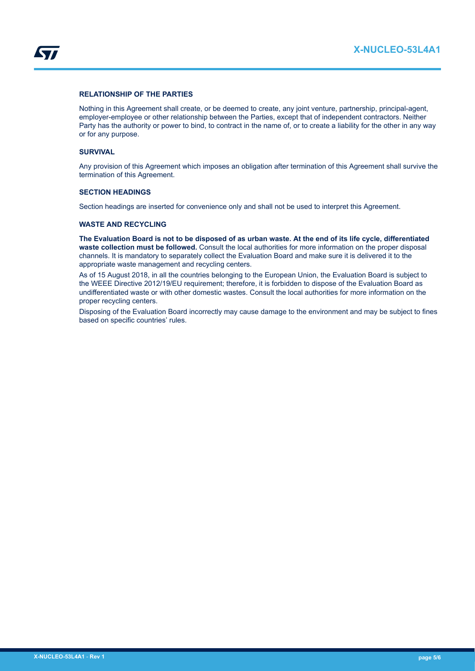

## **RELATIONSHIP OF THE PARTIES**

Nothing in this Agreement shall create, or be deemed to create, any joint venture, partnership, principal-agent, employer-employee or other relationship between the Parties, except that of independent contractors. Neither Party has the authority or power to bind, to contract in the name of, or to create a liability for the other in any way or for any purpose.

#### **SURVIVAL**

Any provision of this Agreement which imposes an obligation after termination of this Agreement shall survive the termination of this Agreement.

## **SECTION HEADINGS**

Section headings are inserted for convenience only and shall not be used to interpret this Agreement.

## **WASTE AND RECYCLING**

**The Evaluation Board is not to be disposed of as urban waste. At the end of its life cycle, differentiated waste collection must be followed.** Consult the local authorities for more information on the proper disposal channels. It is mandatory to separately collect the Evaluation Board and make sure it is delivered it to the appropriate waste management and recycling centers.

As of 15 August 2018, in all the countries belonging to the European Union, the Evaluation Board is subject to the WEEE Directive 2012/19/EU requirement; therefore, it is forbidden to dispose of the Evaluation Board as undifferentiated waste or with other domestic wastes. Consult the local authorities for more information on the proper recycling centers.

Disposing of the Evaluation Board incorrectly may cause damage to the environment and may be subject to fines based on specific countries' rules.